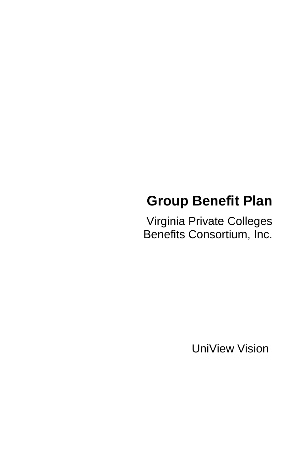# **Group Benefit Plan**

Virginia Private Colleges Benefits Consortium, Inc.

UniView Vision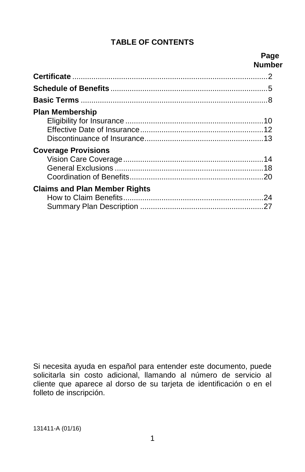# **TABLE OF CONTENTS**

#### **Page Number**

| <b>Plan Membership</b>               |  |
|--------------------------------------|--|
|                                      |  |
|                                      |  |
|                                      |  |
| <b>Coverage Provisions</b>           |  |
|                                      |  |
|                                      |  |
|                                      |  |
| <b>Claims and Plan Member Rights</b> |  |
|                                      |  |
|                                      |  |

Si necesita ayuda en español para entender este documento, puede solicitarla sin costo adicional, llamando al número de servicio al cliente que aparece al dorso de su tarjeta de identificación o en el folleto de inscripción.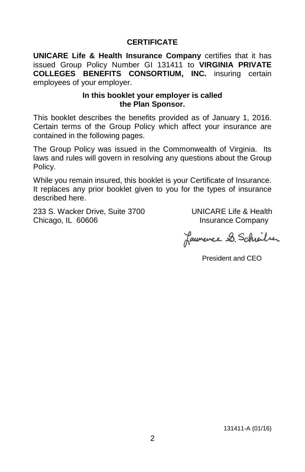## **CERTIFICATE**

**UNICARE Life & Health Insurance Company** certifies that it has issued Group Policy Number GI 131411 to **VIRGINIA PRIVATE COLLEGES BENEFITS CONSORTIUM, INC.** insuring certain employees of your employer.

#### **In this booklet your employer is called the Plan Sponsor.**

This booklet describes the benefits provided as of January 1, 2016. Certain terms of the Group Policy which affect your insurance are contained in the following pages.

The Group Policy was issued in the Commonwealth of Virginia. Its laws and rules will govern in resolving any questions about the Group Policy.

While you remain insured, this booklet is your Certificate of Insurance. It replaces any prior booklet given to you for the types of insurance described here.

233 S. Wacker Drive, Suite 3700 UNICARE Life & Health Chicago, IL 60606 **Insurance Company** 

Launence 2. Schrider

President and CEO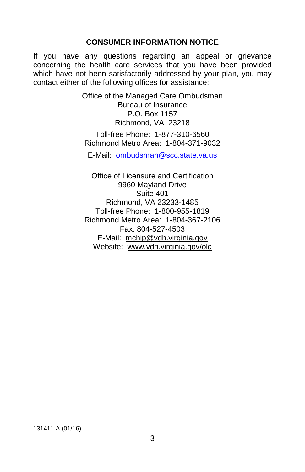#### **CONSUMER INFORMATION NOTICE**

If you have any questions regarding an appeal or grievance concerning the health care services that you have been provided which have not been satisfactorily addressed by your plan, you may contact either of the following offices for assistance:

> Office of the Managed Care Ombudsman Bureau of Insurance P.O. Box 1157 Richmond, VA 23218 Toll-free Phone: 1-877-310-6560 Richmond Metro Area: 1-804-371-9032

E-Mail: [ombudsman@scc.state.va.us](mailto:ombudsman@scc.state.va.us)

Office of Licensure and Certification 9960 Mayland Drive Suite 401 Richmond, VA 23233-1485 Toll-free Phone: 1-800-955-1819 Richmond Metro Area: 1-804-367-2106 Fax: 804-527-4503 E-Mail: [mchip@vdh.virginia.gov](mailto:mchip@vdh.virginia.gov) Website: [www.vdh.virginia.gov/olc](http://www.vdh.virginia.gov/olc)

131411-A (01/16)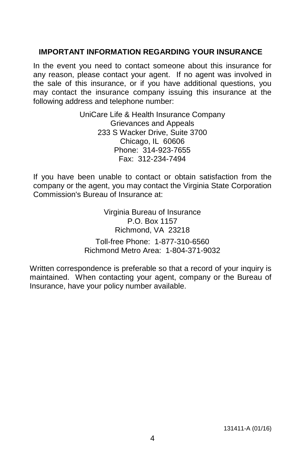#### **IMPORTANT INFORMATION REGARDING YOUR INSURANCE**

In the event you need to contact someone about this insurance for any reason, please contact your agent. If no agent was involved in the sale of this insurance, or if you have additional questions, you may contact the insurance company issuing this insurance at the following address and telephone number:

> UniCare Life & Health Insurance Company Grievances and Appeals 233 S Wacker Drive, Suite 3700 Chicago, IL 60606 Phone: 314-923-7655 Fax: 312-234-7494

If you have been unable to contact or obtain satisfaction from the company or the agent, you may contact the Virginia State Corporation Commission's Bureau of Insurance at:

> Virginia Bureau of Insurance P.O. Box 1157 Richmond, VA 23218

Toll-free Phone: 1-877-310-6560 Richmond Metro Area: 1-804-371-9032

Written correspondence is preferable so that a record of your inquiry is maintained. When contacting your agent, company or the Bureau of Insurance, have your policy number available.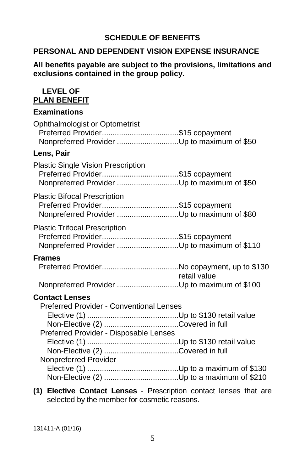## **SCHEDULE OF BENEFITS**

#### **PERSONAL AND DEPENDENT VISION EXPENSE INSURANCE**

#### **All benefits payable are subject to the provisions, limitations and exclusions contained in the group policy.**

#### **LEVEL OF PLAN BENEFIT**

#### **Examinations**

| <b>Ophthalmologist or Optometrist</b><br>Preferred Provider\$15 copayment<br>Nonpreferred Provider Up to maximum of \$50                    |              |
|---------------------------------------------------------------------------------------------------------------------------------------------|--------------|
| Lens, Pair                                                                                                                                  |              |
| Plastic Single Vision Prescription<br>Preferred Provider\$15 copayment<br>Nonpreferred Provider Up to maximum of \$50                       |              |
| <b>Plastic Bifocal Prescription</b><br>Preferred Provider\$15 copayment                                                                     |              |
| <b>Plastic Trifocal Prescription</b><br>Preferred Provider\$15 copayment<br>Nonpreferred Provider Up to maximum of \$110                    |              |
| <b>Frames</b>                                                                                                                               | retail value |
|                                                                                                                                             |              |
| <b>Contact Lenses</b><br><b>Preferred Provider - Conventional Lenses</b><br>Preferred Provider - Disposable Lenses<br>Nonpreferred Provider |              |

**(1) Elective Contact Lenses** - Prescription contact lenses that are selected by the member for cosmetic reasons.

131411-A (01/16)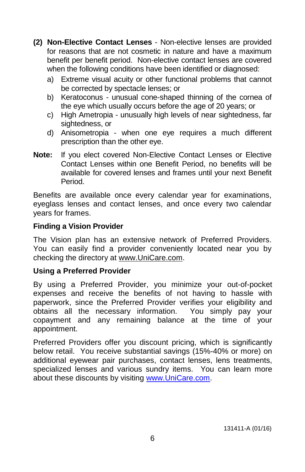- **(2) Non-Elective Contact Lenses** Non-elective lenses are provided for reasons that are not cosmetic in nature and have a maximum benefit per benefit period. Non-elective contact lenses are covered when the following conditions have been identified or diagnosed:
	- a) Extreme visual acuity or other functional problems that cannot be corrected by spectacle lenses; or
	- b) Keratoconus unusual cone-shaped thinning of the cornea of the eye which usually occurs before the age of 20 years; or
	- c) High Ametropia unusually high levels of near sightedness, far sightedness, or
	- d) Anisometropia when one eye requires a much different prescription than the other eye.
- **Note:** If you elect covered Non-Elective Contact Lenses or Elective Contact Lenses within one Benefit Period, no benefits will be available for covered lenses and frames until your next Benefit Period.

Benefits are available once every calendar year for examinations, eyeglass lenses and contact lenses, and once every two calendar years for frames.

## **Finding a Vision Provider**

The Vision plan has an extensive network of Preferred Providers. You can easily find a provider conveniently located near you by checking the directory at [www.UniCare.com.](http://www.unicare.com/)

# **Using a Preferred Provider**

By using a Preferred Provider, you minimize your out-of-pocket expenses and receive the benefits of not having to hassle with paperwork, since the Preferred Provider verifies your eligibility and obtains all the necessary information. You simply pay your copayment and any remaining balance at the time of your appointment.

Preferred Providers offer you discount pricing, which is significantly below retail. You receive substantial savings (15%-40% or more) on additional eyewear pair purchases, contact lenses, lens treatments, specialized lenses and various sundry items. You can learn more about these discounts by visiting [www.UniCare.com.](http://www.unicare.com/)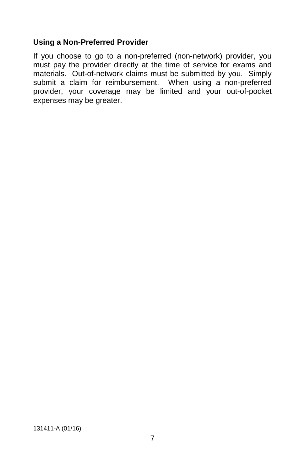#### **Using a Non-Preferred Provider**

If you choose to go to a non-preferred (non-network) provider, you must pay the provider directly at the time of service for exams and materials. Out-of-network claims must be submitted by you. Simply submit a claim for reimbursement. When using a non-preferred provider, your coverage may be limited and your out-of-pocket expenses may be greater.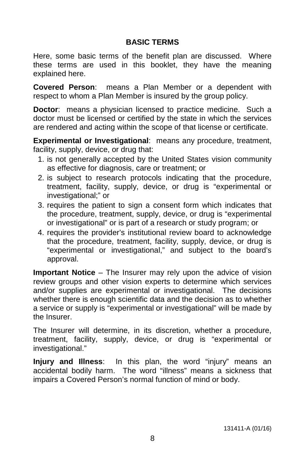## **BASIC TERMS**

Here, some basic terms of the benefit plan are discussed. Where these terms are used in this booklet, they have the meaning explained here.

**Covered Person**: means a Plan Member or a dependent with respect to whom a Plan Member is insured by the group policy.

**Doctor**: means a physician licensed to practice medicine. Such a doctor must be licensed or certified by the state in which the services are rendered and acting within the scope of that license or certificate.

**Experimental or Investigational**: means any procedure, treatment, facility, supply, device, or drug that:

- 1. is not generally accepted by the United States vision community as effective for diagnosis, care or treatment; or
- 2. is subject to research protocols indicating that the procedure, treatment, facility, supply, device, or drug is "experimental or investigational;" or
- 3. requires the patient to sign a consent form which indicates that the procedure, treatment, supply, device, or drug is "experimental or investigational" or is part of a research or study program; or
- 4. requires the provider's institutional review board to acknowledge that the procedure, treatment, facility, supply, device, or drug is "experimental or investigational," and subject to the board's approval.

**Important Notice** – The Insurer may rely upon the advice of vision review groups and other vision experts to determine which services and/or supplies are experimental or investigational. The decisions whether there is enough scientific data and the decision as to whether a service or supply is "experimental or investigational" will be made by the Insurer.

The Insurer will determine, in its discretion, whether a procedure, treatment, facility, supply, device, or drug is "experimental or investigational."

**Injury and Illness**: In this plan, the word "injury" means an accidental bodily harm. The word "illness" means a sickness that impairs a Covered Person's normal function of mind or body.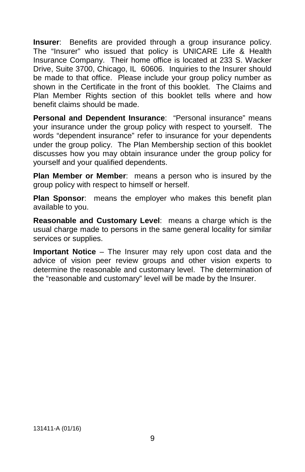**Insurer:** Benefits are provided through a group insurance policy. The "Insurer" who issued that policy is UNICARE Life & Health Insurance Company. Their home office is located at 233 S. Wacker Drive, Suite 3700, Chicago, IL 60606. Inquiries to the Insurer should be made to that office. Please include your group policy number as shown in the Certificate in the front of this booklet. The Claims and Plan Member Rights section of this booklet tells where and how benefit claims should be made.

**Personal and Dependent Insurance**: "Personal insurance" means your insurance under the group policy with respect to yourself. The words "dependent insurance" refer to insurance for your dependents under the group policy. The Plan Membership section of this booklet discusses how you may obtain insurance under the group policy for yourself and your qualified dependents.

**Plan Member or Member**: means a person who is insured by the group policy with respect to himself or herself.

**Plan Sponsor**: means the employer who makes this benefit plan available to you.

**Reasonable and Customary Level**: means a charge which is the usual charge made to persons in the same general locality for similar services or supplies.

**Important Notice** – The Insurer may rely upon cost data and the advice of vision peer review groups and other vision experts to determine the reasonable and customary level. The determination of the "reasonable and customary" level will be made by the Insurer.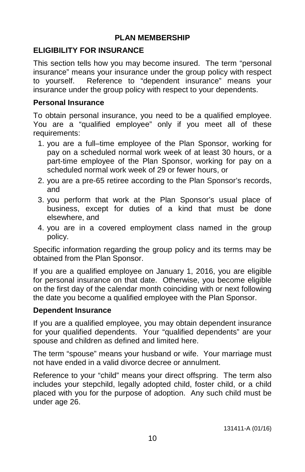### **PLAN MEMBERSHIP**

# **ELIGIBILITY FOR INSURANCE**

This section tells how you may become insured. The term "personal insurance" means your insurance under the group policy with respect to yourself. Reference to "dependent insurance" means your insurance under the group policy with respect to your dependents.

#### **Personal Insurance**

To obtain personal insurance, you need to be a qualified employee. You are a "qualified employee" only if you meet all of these requirements:

- 1. you are a full–time employee of the Plan Sponsor, working for pay on a scheduled normal work week of at least 30 hours, or a part-time employee of the Plan Sponsor, working for pay on a scheduled normal work week of 29 or fewer hours, or
- 2. you are a pre-65 retiree according to the Plan Sponsor's records, and
- 3. you perform that work at the Plan Sponsor's usual place of business, except for duties of a kind that must be done elsewhere, and
- 4. you are in a covered employment class named in the group policy.

Specific information regarding the group policy and its terms may be obtained from the Plan Sponsor.

If you are a qualified employee on January 1, 2016, you are eligible for personal insurance on that date. Otherwise, you become eligible on the first day of the calendar month coinciding with or next following the date you become a qualified employee with the Plan Sponsor.

### **Dependent Insurance**

If you are a qualified employee, you may obtain dependent insurance for your qualified dependents. Your "qualified dependents" are your spouse and children as defined and limited here.

The term "spouse" means your husband or wife. Your marriage must not have ended in a valid divorce decree or annulment.

Reference to your "child" means your direct offspring. The term also includes your stepchild, legally adopted child, foster child, or a child placed with you for the purpose of adoption. Any such child must be under age 26.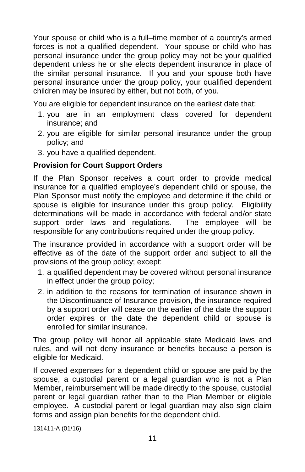Your spouse or child who is a full–time member of a country's armed forces is not a qualified dependent. Your spouse or child who has personal insurance under the group policy may not be your qualified dependent unless he or she elects dependent insurance in place of the similar personal insurance. If you and your spouse both have personal insurance under the group policy, your qualified dependent children may be insured by either, but not both, of you.

You are eligible for dependent insurance on the earliest date that:

- 1. you are in an employment class covered for dependent insurance; and
- 2. you are eligible for similar personal insurance under the group policy; and
- 3. you have a qualified dependent.

### **Provision for Court Support Orders**

If the Plan Sponsor receives a court order to provide medical insurance for a qualified employee's dependent child or spouse, the Plan Sponsor must notify the employee and determine if the child or spouse is eligible for insurance under this group policy. Eligibility determinations will be made in accordance with federal and/or state<br>support order laws and regulations. The employee will be support order laws and regulations. responsible for any contributions required under the group policy.

The insurance provided in accordance with a support order will be effective as of the date of the support order and subject to all the provisions of the group policy; except:

- 1. a qualified dependent may be covered without personal insurance in effect under the group policy;
- 2. in addition to the reasons for termination of insurance shown in the Discontinuance of Insurance provision, the insurance required by a support order will cease on the earlier of the date the support order expires or the date the dependent child or spouse is enrolled for similar insurance.

The group policy will honor all applicable state Medicaid laws and rules, and will not deny insurance or benefits because a person is eligible for Medicaid.

If covered expenses for a dependent child or spouse are paid by the spouse, a custodial parent or a legal guardian who is not a Plan Member, reimbursement will be made directly to the spouse, custodial parent or legal guardian rather than to the Plan Member or eligible employee. A custodial parent or legal guardian may also sign claim forms and assign plan benefits for the dependent child.

131411-A (01/16)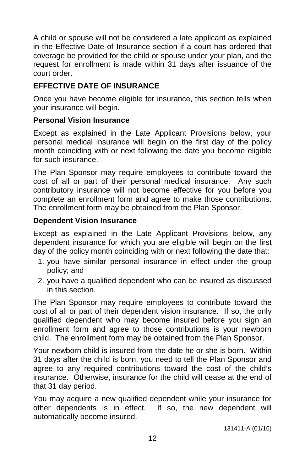A child or spouse will not be considered a late applicant as explained in the Effective Date of Insurance section if a court has ordered that coverage be provided for the child or spouse under your plan, and the request for enrollment is made within 31 days after issuance of the court order.

# **EFFECTIVE DATE OF INSURANCE**

Once you have become eligible for insurance, this section tells when your insurance will begin.

## **Personal Vision Insurance**

Except as explained in the Late Applicant Provisions below, your personal medical insurance will begin on the first day of the policy month coinciding with or next following the date you become eligible for such insurance.

The Plan Sponsor may require employees to contribute toward the cost of all or part of their personal medical insurance. Any such contributory insurance will not become effective for you before you complete an enrollment form and agree to make those contributions. The enrollment form may be obtained from the Plan Sponsor.

## **Dependent Vision Insurance**

Except as explained in the Late Applicant Provisions below, any dependent insurance for which you are eligible will begin on the first day of the policy month coinciding with or next following the date that:

- 1. you have similar personal insurance in effect under the group policy; and
- 2. you have a qualified dependent who can be insured as discussed in this section.

The Plan Sponsor may require employees to contribute toward the cost of all or part of their dependent vision insurance. If so, the only qualified dependent who may become insured before you sign an enrollment form and agree to those contributions is your newborn child. The enrollment form may be obtained from the Plan Sponsor.

Your newborn child is insured from the date he or she is born. Within 31 days after the child is born, you need to tell the Plan Sponsor and agree to any required contributions toward the cost of the child's insurance. Otherwise, insurance for the child will cease at the end of that 31 day period.

You may acquire a new qualified dependent while your insurance for other dependents is in effect. If so, the new dependent will automatically become insured.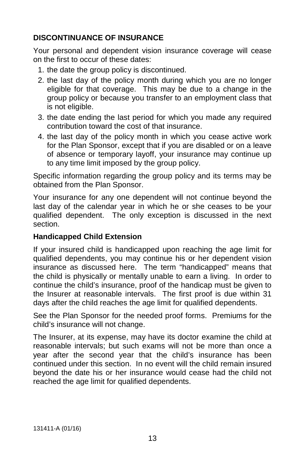# **DISCONTINUANCE OF INSURANCE**

Your personal and dependent vision insurance coverage will cease on the first to occur of these dates:

- 1. the date the group policy is discontinued.
- 2. the last day of the policy month during which you are no longer eligible for that coverage. This may be due to a change in the group policy or because you transfer to an employment class that is not eligible.
- 3. the date ending the last period for which you made any required contribution toward the cost of that insurance.
- 4. the last day of the policy month in which you cease active work for the Plan Sponsor, except that if you are disabled or on a leave of absence or temporary layoff, your insurance may continue up to any time limit imposed by the group policy.

Specific information regarding the group policy and its terms may be obtained from the Plan Sponsor.

Your insurance for any one dependent will not continue beyond the last day of the calendar year in which he or she ceases to be your qualified dependent. The only exception is discussed in the next section.

### **Handicapped Child Extension**

If your insured child is handicapped upon reaching the age limit for qualified dependents, you may continue his or her dependent vision insurance as discussed here. The term "handicapped" means that the child is physically or mentally unable to earn a living. In order to continue the child's insurance, proof of the handicap must be given to the Insurer at reasonable intervals. The first proof is due within 31 days after the child reaches the age limit for qualified dependents.

See the Plan Sponsor for the needed proof forms. Premiums for the child's insurance will not change.

The Insurer, at its expense, may have its doctor examine the child at reasonable intervals; but such exams will not be more than once a year after the second year that the child's insurance has been continued under this section. In no event will the child remain insured beyond the date his or her insurance would cease had the child not reached the age limit for qualified dependents.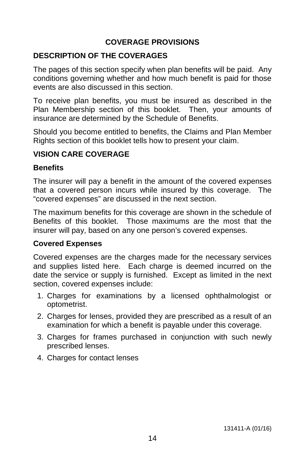# **COVERAGE PROVISIONS**

#### **DESCRIPTION OF THE COVERAGES**

The pages of this section specify when plan benefits will be paid. Any conditions governing whether and how much benefit is paid for those events are also discussed in this section.

To receive plan benefits, you must be insured as described in the Plan Membership section of this booklet. Then, your amounts of insurance are determined by the Schedule of Benefits.

Should you become entitled to benefits, the Claims and Plan Member Rights section of this booklet tells how to present your claim.

#### **VISION CARE COVERAGE**

#### **Benefits**

The insurer will pay a benefit in the amount of the covered expenses that a covered person incurs while insured by this coverage. The "covered expenses" are discussed in the next section.

The maximum benefits for this coverage are shown in the schedule of Benefits of this booklet. Those maximums are the most that the insurer will pay, based on any one person's covered expenses.

# **Covered Expenses**

Covered expenses are the charges made for the necessary services and supplies listed here. Each charge is deemed incurred on the date the service or supply is furnished. Except as limited in the next section, covered expenses include:

- 1. Charges for examinations by a licensed ophthalmologist or optometrist.
- 2. Charges for lenses, provided they are prescribed as a result of an examination for which a benefit is payable under this coverage.
- 3. Charges for frames purchased in conjunction with such newly prescribed lenses.
- 4. Charges for contact lenses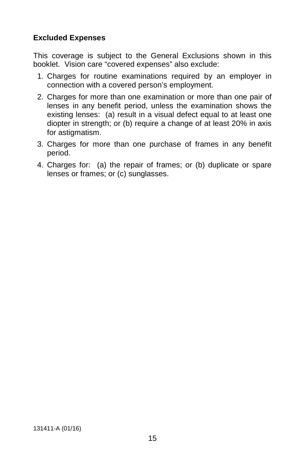## **Excluded Expenses**

This coverage is subject to the General Exclusions shown in this booklet. Vision care "covered expenses" also exclude:

- 1. Charges for routine examinations required by an employer in connection with a covered person's employment.
- 2. Charges for more than one examination or more than one pair of lenses in any benefit period, unless the examination shows the existing lenses: (a) result in a visual defect equal to at least one diopter in strength; or (b) require a change of at least 20% in axis for astigmatism.
- 3. Charges for more than one purchase of frames in any benefit period.
- 4. Charges for: (a) the repair of frames; or (b) duplicate or spare lenses or frames; or (c) sunglasses.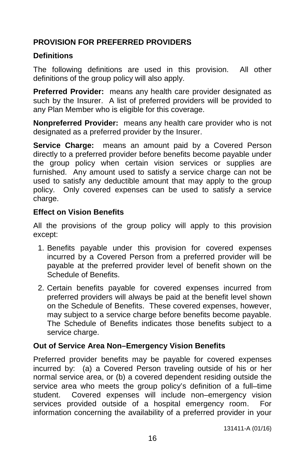# **PROVISION FOR PREFERRED PROVIDERS**

## **Definitions**

The following definitions are used in this provision. All other definitions of the group policy will also apply.

**Preferred Provider:** means any health care provider designated as such by the Insurer. A list of preferred providers will be provided to any Plan Member who is eligible for this coverage.

**Nonpreferred Provider:** means any health care provider who is not designated as a preferred provider by the Insurer.

**Service Charge:** means an amount paid by a Covered Person directly to a preferred provider before benefits become payable under the group policy when certain vision services or supplies are furnished. Any amount used to satisfy a service charge can not be used to satisfy any deductible amount that may apply to the group policy. Only covered expenses can be used to satisfy a service charge.

## **Effect on Vision Benefits**

All the provisions of the group policy will apply to this provision except:

- 1. Benefits payable under this provision for covered expenses incurred by a Covered Person from a preferred provider will be payable at the preferred provider level of benefit shown on the Schedule of Benefits.
- 2. Certain benefits payable for covered expenses incurred from preferred providers will always be paid at the benefit level shown on the Schedule of Benefits. These covered expenses, however, may subject to a service charge before benefits become payable. The Schedule of Benefits indicates those benefits subject to a service charge.

# **Out of Service Area Non–Emergency Vision Benefits**

Preferred provider benefits may be payable for covered expenses incurred by: (a) a Covered Person traveling outside of his or her normal service area, or (b) a covered dependent residing outside the service area who meets the group policy's definition of a full–time student. Covered expenses will include non–emergency vision services provided outside of a hospital emergency room. For information concerning the availability of a preferred provider in your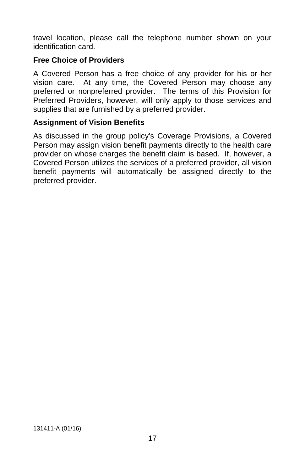travel location, please call the telephone number shown on your identification card.

## **Free Choice of Providers**

A Covered Person has a free choice of any provider for his or her vision care. At any time, the Covered Person may choose any preferred or nonpreferred provider. The terms of this Provision for Preferred Providers, however, will only apply to those services and supplies that are furnished by a preferred provider.

### **Assignment of Vision Benefits**

As discussed in the group policy's Coverage Provisions, a Covered Person may assign vision benefit payments directly to the health care provider on whose charges the benefit claim is based. If, however, a Covered Person utilizes the services of a preferred provider, all vision benefit payments will automatically be assigned directly to the preferred provider.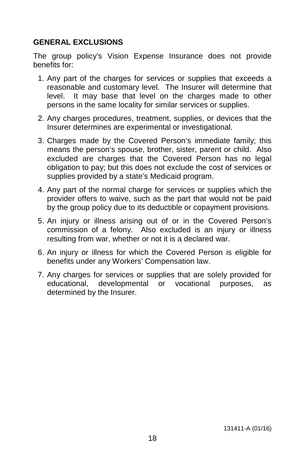## **GENERAL EXCLUSIONS**

The group policy's Vision Expense Insurance does not provide benefits for:

- 1. Any part of the charges for services or supplies that exceeds a reasonable and customary level. The Insurer will determine that level. It may base that level on the charges made to other persons in the same locality for similar services or supplies.
- 2. Any charges procedures, treatment, supplies, or devices that the Insurer determines are experimental or investigational.
- 3. Charges made by the Covered Person's immediate family; this means the person's spouse, brother, sister, parent or child. Also excluded are charges that the Covered Person has no legal obligation to pay; but this does not exclude the cost of services or supplies provided by a state's Medicaid program.
- 4. Any part of the normal charge for services or supplies which the provider offers to waive, such as the part that would not be paid by the group policy due to its deductible or copayment provisions.
- 5. An injury or illness arising out of or in the Covered Person's commission of a felony. Also excluded is an injury or illness resulting from war, whether or not it is a declared war.
- 6. An injury or illness for which the Covered Person is eligible for benefits under any Workers' Compensation law.
- 7. Any charges for services or supplies that are solely provided for educational, developmental or vocational purposes, as determined by the Insurer.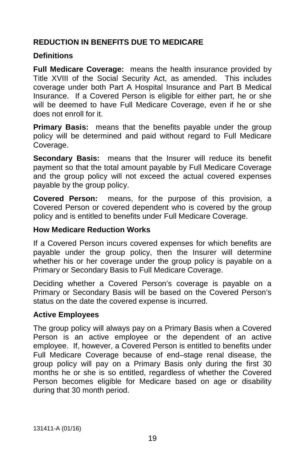# **REDUCTION IN BENEFITS DUE TO MEDICARE**

### **Definitions**

**Full Medicare Coverage:** means the health insurance provided by Title XVIII of the Social Security Act, as amended. This includes coverage under both Part A Hospital Insurance and Part B Medical Insurance. If a Covered Person is eligible for either part, he or she will be deemed to have Full Medicare Coverage, even if he or she does not enroll for it.

**Primary Basis:** means that the benefits payable under the group policy will be determined and paid without regard to Full Medicare Coverage.

**Secondary Basis:** means that the Insurer will reduce its benefit payment so that the total amount payable by Full Medicare Coverage and the group policy will not exceed the actual covered expenses payable by the group policy.

**Covered Person:** means, for the purpose of this provision, a Covered Person or covered dependent who is covered by the group policy and is entitled to benefits under Full Medicare Coverage.

#### **How Medicare Reduction Works**

If a Covered Person incurs covered expenses for which benefits are payable under the group policy, then the Insurer will determine whether his or her coverage under the group policy is payable on a Primary or Secondary Basis to Full Medicare Coverage.

Deciding whether a Covered Person's coverage is payable on a Primary or Secondary Basis will be based on the Covered Person's status on the date the covered expense is incurred.

### **Active Employees**

The group policy will always pay on a Primary Basis when a Covered Person is an active employee or the dependent of an active employee. If, however, a Covered Person is entitled to benefits under Full Medicare Coverage because of end–stage renal disease, the group policy will pay on a Primary Basis only during the first 30 months he or she is so entitled, regardless of whether the Covered Person becomes eligible for Medicare based on age or disability during that 30 month period.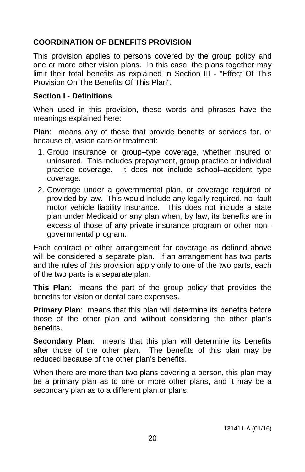# **COORDINATION OF BENEFITS PROVISION**

This provision applies to persons covered by the group policy and one or more other vision plans. In this case, the plans together may limit their total benefits as explained in Section III - "Effect Of This Provision On The Benefits Of This Plan".

#### **Section I - Definitions**

When used in this provision, these words and phrases have the meanings explained here:

**Plan**: means any of these that provide benefits or services for, or because of, vision care or treatment:

- 1. Group insurance or group–type coverage, whether insured or uninsured. This includes prepayment, group practice or individual practice coverage. It does not include school–accident type coverage.
- 2. Coverage under a governmental plan, or coverage required or provided by law. This would include any legally required, no–fault motor vehicle liability insurance. This does not include a state plan under Medicaid or any plan when, by law, its benefits are in excess of those of any private insurance program or other non– governmental program.

Each contract or other arrangement for coverage as defined above will be considered a separate plan. If an arrangement has two parts and the rules of this provision apply only to one of the two parts, each of the two parts is a separate plan.

**This Plan**: means the part of the group policy that provides the benefits for vision or dental care expenses.

**Primary Plan:** means that this plan will determine its benefits before those of the other plan and without considering the other plan's benefits.

**Secondary Plan**: means that this plan will determine its benefits after those of the other plan. The benefits of this plan may be reduced because of the other plan's benefits.

When there are more than two plans covering a person, this plan may be a primary plan as to one or more other plans, and it may be a secondary plan as to a different plan or plans.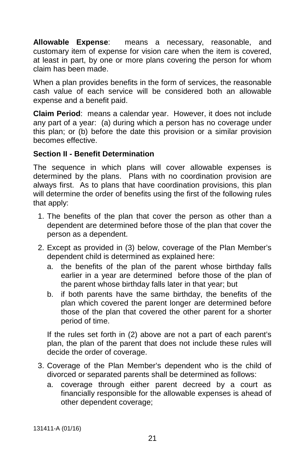**Allowable Expense**: means a necessary, reasonable, and customary item of expense for vision care when the item is covered, at least in part, by one or more plans covering the person for whom claim has been made.

When a plan provides benefits in the form of services, the reasonable cash value of each service will be considered both an allowable expense and a benefit paid.

**Claim Period**: means a calendar year. However, it does not include any part of a year: (a) during which a person has no coverage under this plan; or (b) before the date this provision or a similar provision becomes effective.

### **Section II - Benefit Determination**

The sequence in which plans will cover allowable expenses is determined by the plans. Plans with no coordination provision are always first. As to plans that have coordination provisions, this plan will determine the order of benefits using the first of the following rules that apply:

- 1. The benefits of the plan that cover the person as other than a dependent are determined before those of the plan that cover the person as a dependent.
- 2. Except as provided in (3) below, coverage of the Plan Member's dependent child is determined as explained here:
	- a. the benefits of the plan of the parent whose birthday falls earlier in a year are determined before those of the plan of the parent whose birthday falls later in that year; but
	- b. if both parents have the same birthday, the benefits of the plan which covered the parent longer are determined before those of the plan that covered the other parent for a shorter period of time.

If the rules set forth in (2) above are not a part of each parent's plan, the plan of the parent that does not include these rules will decide the order of coverage.

- 3. Coverage of the Plan Member's dependent who is the child of divorced or separated parents shall be determined as follows:
	- a. coverage through either parent decreed by a court as financially responsible for the allowable expenses is ahead of other dependent coverage;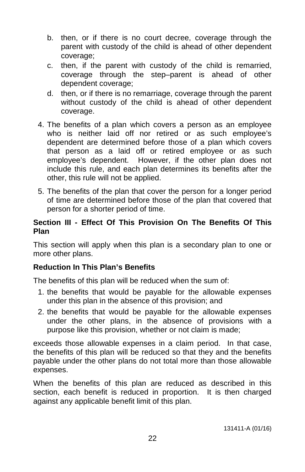- b. then, or if there is no court decree, coverage through the parent with custody of the child is ahead of other dependent coverage;
- c. then, if the parent with custody of the child is remarried, coverage through the step–parent is ahead of other dependent coverage;
- d. then, or if there is no remarriage, coverage through the parent without custody of the child is ahead of other dependent coverage.
- 4. The benefits of a plan which covers a person as an employee who is neither laid off nor retired or as such employee's dependent are determined before those of a plan which covers that person as a laid off or retired employee or as such employee's dependent. However, if the other plan does not include this rule, and each plan determines its benefits after the other, this rule will not be applied.
- 5. The benefits of the plan that cover the person for a longer period of time are determined before those of the plan that covered that person for a shorter period of time.

### **Section III - Effect Of This Provision On The Benefits Of This Plan**

This section will apply when this plan is a secondary plan to one or more other plans.

### **Reduction In This Plan's Benefits**

The benefits of this plan will be reduced when the sum of:

- 1. the benefits that would be payable for the allowable expenses under this plan in the absence of this provision; and
- 2. the benefits that would be payable for the allowable expenses under the other plans, in the absence of provisions with a purpose like this provision, whether or not claim is made;

exceeds those allowable expenses in a claim period. In that case, the benefits of this plan will be reduced so that they and the benefits payable under the other plans do not total more than those allowable expenses.

When the benefits of this plan are reduced as described in this section, each benefit is reduced in proportion. It is then charged against any applicable benefit limit of this plan.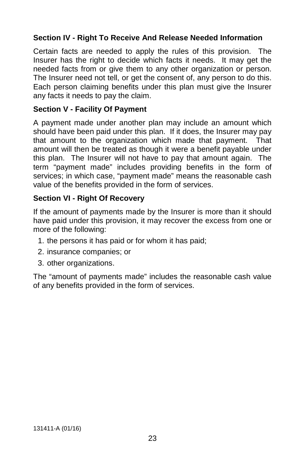# **Section IV - Right To Receive And Release Needed Information**

Certain facts are needed to apply the rules of this provision. The Insurer has the right to decide which facts it needs. It may get the needed facts from or give them to any other organization or person. The Insurer need not tell, or get the consent of, any person to do this. Each person claiming benefits under this plan must give the Insurer any facts it needs to pay the claim.

#### **Section V - Facility Of Payment**

A payment made under another plan may include an amount which should have been paid under this plan. If it does, the Insurer may pay that amount to the organization which made that payment. That amount will then be treated as though it were a benefit payable under this plan. The Insurer will not have to pay that amount again. The term "payment made" includes providing benefits in the form of services; in which case, "payment made" means the reasonable cash value of the benefits provided in the form of services.

#### **Section VI - Right Of Recovery**

If the amount of payments made by the Insurer is more than it should have paid under this provision, it may recover the excess from one or more of the following:

- 1. the persons it has paid or for whom it has paid;
- 2. insurance companies; or
- 3. other organizations.

The "amount of payments made" includes the reasonable cash value of any benefits provided in the form of services.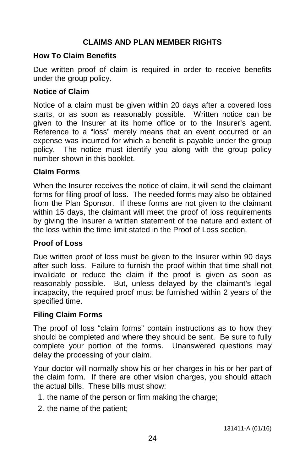## **CLAIMS AND PLAN MEMBER RIGHTS**

#### **How To Claim Benefits**

Due written proof of claim is required in order to receive benefits under the group policy.

#### **Notice of Claim**

Notice of a claim must be given within 20 days after a covered loss starts, or as soon as reasonably possible. Written notice can be given to the Insurer at its home office or to the Insurer's agent. Reference to a "loss" merely means that an event occurred or an expense was incurred for which a benefit is payable under the group policy. The notice must identify you along with the group policy number shown in this booklet.

#### **Claim Forms**

When the Insurer receives the notice of claim, it will send the claimant forms for filing proof of loss. The needed forms may also be obtained from the Plan Sponsor. If these forms are not given to the claimant within 15 days, the claimant will meet the proof of loss requirements by giving the Insurer a written statement of the nature and extent of the loss within the time limit stated in the Proof of Loss section.

#### **Proof of Loss**

Due written proof of loss must be given to the Insurer within 90 days after such loss. Failure to furnish the proof within that time shall not invalidate or reduce the claim if the proof is given as soon as reasonably possible. But, unless delayed by the claimant's legal incapacity, the required proof must be furnished within 2 years of the specified time.

#### **Filing Claim Forms**

The proof of loss "claim forms" contain instructions as to how they should be completed and where they should be sent. Be sure to fully complete your portion of the forms. Unanswered questions may delay the processing of your claim.

Your doctor will normally show his or her charges in his or her part of the claim form. If there are other vision charges, you should attach the actual bills. These bills must show:

- 1. the name of the person or firm making the charge;
- 2. the name of the patient;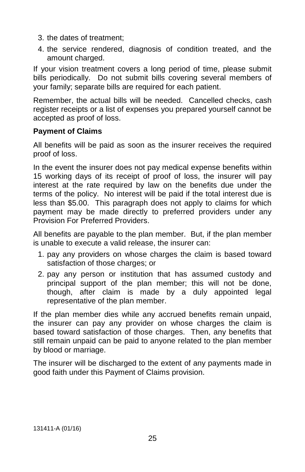- 3. the dates of treatment;
- 4. the service rendered, diagnosis of condition treated, and the amount charged.

If your vision treatment covers a long period of time, please submit bills periodically. Do not submit bills covering several members of your family; separate bills are required for each patient.

Remember, the actual bills will be needed. Cancelled checks, cash register receipts or a list of expenses you prepared yourself cannot be accepted as proof of loss.

#### **Payment of Claims**

All benefits will be paid as soon as the insurer receives the required proof of loss.

In the event the insurer does not pay medical expense benefits within 15 working days of its receipt of proof of loss, the insurer will pay interest at the rate required by law on the benefits due under the terms of the policy. No interest will be paid if the total interest due is less than \$5.00. This paragraph does not apply to claims for which payment may be made directly to preferred providers under any Provision For Preferred Providers.

All benefits are payable to the plan member. But, if the plan member is unable to execute a valid release, the insurer can:

- 1. pay any providers on whose charges the claim is based toward satisfaction of those charges; or
- 2. pay any person or institution that has assumed custody and principal support of the plan member; this will not be done, though, after claim is made by a duly appointed legal representative of the plan member.

If the plan member dies while any accrued benefits remain unpaid, the insurer can pay any provider on whose charges the claim is based toward satisfaction of those charges. Then, any benefits that still remain unpaid can be paid to anyone related to the plan member by blood or marriage.

The insurer will be discharged to the extent of any payments made in good faith under this Payment of Claims provision.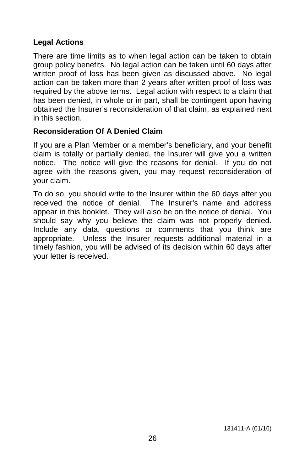# **Legal Actions**

There are time limits as to when legal action can be taken to obtain group policy benefits. No legal action can be taken until 60 days after written proof of loss has been given as discussed above. No legal action can be taken more than 2 years after written proof of loss was required by the above terms. Legal action with respect to a claim that has been denied, in whole or in part, shall be contingent upon having obtained the Insurer's reconsideration of that claim, as explained next in this section.

### **Reconsideration Of A Denied Claim**

If you are a Plan Member or a member's beneficiary, and your benefit claim is totally or partially denied, the Insurer will give you a written notice. The notice will give the reasons for denial. If you do not agree with the reasons given, you may request reconsideration of your claim.

To do so, you should write to the Insurer within the 60 days after you received the notice of denial. The Insurer's name and address appear in this booklet. They will also be on the notice of denial. You should say why you believe the claim was not properly denied. Include any data, questions or comments that you think are appropriate. Unless the Insurer requests additional material in a timely fashion, you will be advised of its decision within 60 days after your letter is received.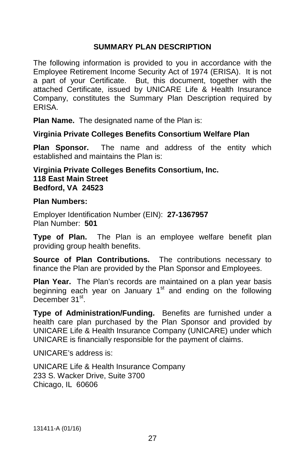#### **SUMMARY PLAN DESCRIPTION**

The following information is provided to you in accordance with the Employee Retirement Income Security Act of 1974 (ERISA). It is not a part of your Certificate. But, this document, together with the attached Certificate, issued by UNICARE Life & Health Insurance Company, constitutes the Summary Plan Description required by ERISA.

**Plan Name.** The designated name of the Plan is:

#### **Virginia Private Colleges Benefits Consortium Welfare Plan**

**Plan Sponsor.** The name and address of the entity which established and maintains the Plan is:

#### **Virginia Private Colleges Benefits Consortium, Inc. 118 East Main Street Bedford, VA 24523**

#### **Plan Numbers:**

Employer Identification Number (EIN): **27-1367957** Plan Number: **501**

**Type of Plan.** The Plan is an employee welfare benefit plan providing group health benefits.

**Source of Plan Contributions.** The contributions necessary to finance the Plan are provided by the Plan Sponsor and Employees.

**Plan Year.** The Plan's records are maintained on a plan year basis beginning each year on January  $1<sup>st</sup>$  and ending on the following December 31<sup>st</sup>.

**Type of Administration/Funding.** Benefits are furnished under a health care plan purchased by the Plan Sponsor and provided by UNICARE Life & Health Insurance Company (UNICARE) under which UNICARE is financially responsible for the payment of claims.

UNICARE's address is:

UNICARE Life & Health Insurance Company 233 S. Wacker Drive, Suite 3700 Chicago, IL 60606

131411-A (01/16)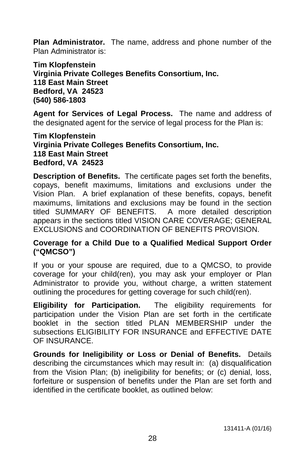**Plan Administrator.** The name, address and phone number of the Plan Administrator is:

**Tim Klopfenstein Virginia Private Colleges Benefits Consortium, Inc. 118 East Main Street Bedford, VA 24523 (540) 586-1803**

**Agent for Services of Legal Process.** The name and address of the designated agent for the service of legal process for the Plan is:

**Tim Klopfenstein Virginia Private Colleges Benefits Consortium, Inc. 118 East Main Street Bedford, VA 24523**

**Description of Benefits.** The certificate pages set forth the benefits, copays, benefit maximums, limitations and exclusions under the Vision Plan. A brief explanation of these benefits, copays, benefit maximums, limitations and exclusions may be found in the section titled SUMMARY OF BENEFITS. A more detailed description appears in the sections titled VISION CARE COVERAGE; GENERAL EXCLUSIONS and COORDINATION OF BENEFITS PROVISION.

#### **Coverage for a Child Due to a Qualified Medical Support Order ("QMCSO")**

If you or your spouse are required, due to a QMCSO, to provide coverage for your child(ren), you may ask your employer or Plan Administrator to provide you, without charge, a written statement outlining the procedures for getting coverage for such child(ren).

**Eligibility for Participation.** The eligibility requirements for participation under the Vision Plan are set forth in the certificate booklet in the section titled PLAN MEMBERSHIP under the subsections ELIGIBILITY FOR INSURANCE and EFFECTIVE DATE OF INSURANCE.

**Grounds for Ineligibility or Loss or Denial of Benefits.** Details describing the circumstances which may result in: (a) disqualification from the Vision Plan; (b) ineligibility for benefits; or (c) denial, loss, forfeiture or suspension of benefits under the Plan are set forth and identified in the certificate booklet, as outlined below: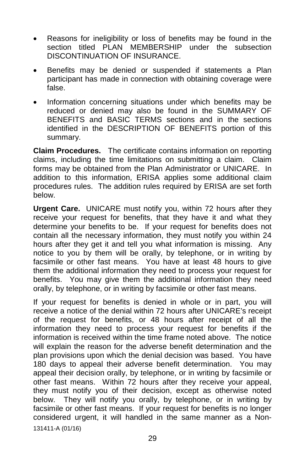- Reasons for ineligibility or loss of benefits may be found in the section titled PLAN MEMBERSHIP under the subsection DISCONTINUATION OF INSURANCE.
- Benefits may be denied or suspended if statements a Plan participant has made in connection with obtaining coverage were false.
- Information concerning situations under which benefits may be reduced or denied may also be found in the SUMMARY OF BENEFITS and BASIC TERMS sections and in the sections identified in the DESCRIPTION OF BENEFITS portion of this summary.

**Claim Procedures.** The certificate contains information on reporting claims, including the time limitations on submitting a claim. Claim forms may be obtained from the Plan Administrator or UNICARE. In addition to this information, ERISA applies some additional claim procedures rules. The addition rules required by ERISA are set forth below.

**Urgent Care.** UNICARE must notify you, within 72 hours after they receive your request for benefits, that they have it and what they determine your benefits to be. If your request for benefits does not contain all the necessary information, they must notify you within 24 hours after they get it and tell you what information is missing. Any notice to you by them will be orally, by telephone, or in writing by facsimile or other fast means. You have at least 48 hours to give them the additional information they need to process your request for benefits. You may give them the additional information they need orally, by telephone, or in writing by facsimile or other fast means.

If your request for benefits is denied in whole or in part, you will receive a notice of the denial within 72 hours after UNICARE's receipt of the request for benefits, or 48 hours after receipt of all the information they need to process your request for benefits if the information is received within the time frame noted above. The notice will explain the reason for the adverse benefit determination and the plan provisions upon which the denial decision was based. You have 180 days to appeal their adverse benefit determination. You may appeal their decision orally, by telephone, or in writing by facsimile or other fast means. Within 72 hours after they receive your appeal, they must notify you of their decision, except as otherwise noted below. They will notify you orally, by telephone, or in writing by facsimile or other fast means. If your request for benefits is no longer considered urgent, it will handled in the same manner as a Non-131411-A (01/16)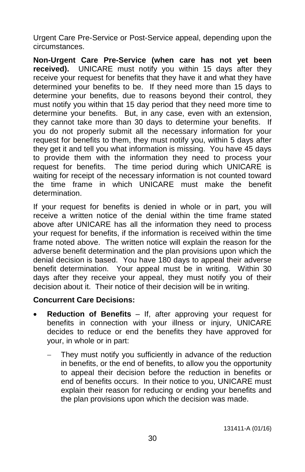Urgent Care Pre-Service or Post-Service appeal, depending upon the circumstances.

**Non-Urgent Care Pre-Service (when care has not yet been received).** UNICARE must notify you within 15 days after they receive your request for benefits that they have it and what they have determined your benefits to be. If they need more than 15 days to determine your benefits, due to reasons beyond their control, they must notify you within that 15 day period that they need more time to determine your benefits. But, in any case, even with an extension, they cannot take more than 30 days to determine your benefits. If you do not properly submit all the necessary information for your request for benefits to them, they must notify you, within 5 days after they get it and tell you what information is missing. You have 45 days to provide them with the information they need to process your request for benefits. The time period during which UNICARE is waiting for receipt of the necessary information is not counted toward the time frame in which UNICARE must make the benefit determination.

If your request for benefits is denied in whole or in part, you will receive a written notice of the denial within the time frame stated above after UNICARE has all the information they need to process your request for benefits, if the information is received within the time frame noted above. The written notice will explain the reason for the adverse benefit determination and the plan provisions upon which the denial decision is based. You have 180 days to appeal their adverse benefit determination. Your appeal must be in writing. Within 30 days after they receive your appeal, they must notify you of their decision about it. Their notice of their decision will be in writing.

### **Concurrent Care Decisions:**

- **Reduction of Benefits** If, after approving your request for benefits in connection with your illness or injury, UNICARE decides to reduce or end the benefits they have approved for your, in whole or in part:
	- They must notify you sufficiently in advance of the reduction in benefits, or the end of benefits, to allow you the opportunity to appeal their decision before the reduction in benefits or end of benefits occurs. In their notice to you, UNICARE must explain their reason for reducing or ending your benefits and the plan provisions upon which the decision was made.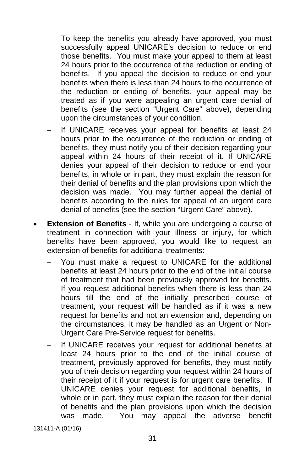- To keep the benefits you already have approved, you must successfully appeal UNICARE's decision to reduce or end those benefits. You must make your appeal to them at least 24 hours prior to the occurrence of the reduction or ending of benefits. If you appeal the decision to reduce or end your benefits when there is less than 24 hours to the occurrence of the reduction or ending of benefits, your appeal may be treated as if you were appealing an urgent care denial of benefits (see the section "Urgent Care" above), depending upon the circumstances of your condition.
- If UNICARE receives your appeal for benefits at least 24 hours prior to the occurrence of the reduction or ending of benefits, they must notify you of their decision regarding your appeal within 24 hours of their receipt of it. If UNICARE denies your appeal of their decision to reduce or end your benefits, in whole or in part, they must explain the reason for their denial of benefits and the plan provisions upon which the decision was made. You may further appeal the denial of benefits according to the rules for appeal of an urgent care denial of benefits (see the section "Urgent Care" above).
- **Extension of Benefits** If, while you are undergoing a course of treatment in connection with your illness or injury, for which benefits have been approved, you would like to request an extension of benefits for additional treatments:
	- You must make a request to UNICARE for the additional benefits at least 24 hours prior to the end of the initial course of treatment that had been previously approved for benefits. If you request additional benefits when there is less than 24 hours till the end of the initially prescribed course of treatment, your request will be handled as if it was a new request for benefits and not an extension and, depending on the circumstances, it may be handled as an Urgent or Non-Urgent Care Pre-Service request for benefits.
	- If UNICARE receives your request for additional benefits at least 24 hours prior to the end of the initial course of treatment, previously approved for benefits, they must notify you of their decision regarding your request within 24 hours of their receipt of it if your request is for urgent care benefits. If UNICARE denies your request for additional benefits, in whole or in part, they must explain the reason for their denial of benefits and the plan provisions upon which the decision was made. You may appeal the adverse benefit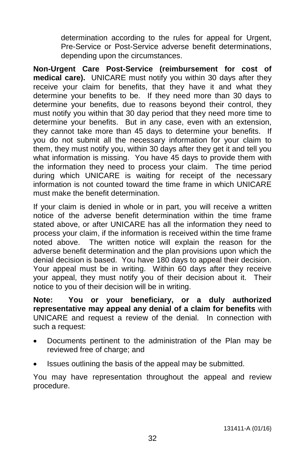determination according to the rules for appeal for Urgent, Pre-Service or Post-Service adverse benefit determinations, depending upon the circumstances.

**Non-Urgent Care Post-Service (reimbursement for cost of medical care).** UNICARE must notify you within 30 days after they receive your claim for benefits, that they have it and what they determine your benefits to be. If they need more than 30 days to determine your benefits, due to reasons beyond their control, they must notify you within that 30 day period that they need more time to determine your benefits. But in any case, even with an extension, they cannot take more than 45 days to determine your benefits. If you do not submit all the necessary information for your claim to them, they must notify you, within 30 days after they get it and tell you what information is missing. You have 45 days to provide them with the information they need to process your claim. The time period during which UNICARE is waiting for receipt of the necessary information is not counted toward the time frame in which UNICARE must make the benefit determination.

If your claim is denied in whole or in part, you will receive a written notice of the adverse benefit determination within the time frame stated above, or after UNICARE has all the information they need to process your claim, if the information is received within the time frame noted above. The written notice will explain the reason for the adverse benefit determination and the plan provisions upon which the denial decision is based. You have 180 days to appeal their decision. Your appeal must be in writing. Within 60 days after they receive your appeal, they must notify you of their decision about it. Their notice to you of their decision will be in writing.

**Note: You or your beneficiary, or a duly authorized representative may appeal any denial of a claim for benefits** with UNICARE and request a review of the denial. In connection with such a request:

- Documents pertinent to the administration of the Plan may be reviewed free of charge; and
- Issues outlining the basis of the appeal may be submitted.

You may have representation throughout the appeal and review procedure.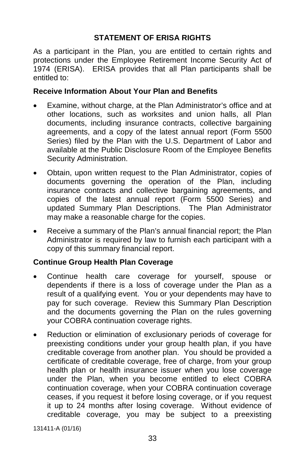# **STATEMENT OF ERISA RIGHTS**

As a participant in the Plan, you are entitled to certain rights and protections under the Employee Retirement Income Security Act of 1974 (ERISA). ERISA provides that all Plan participants shall be entitled to:

#### **Receive Information About Your Plan and Benefits**

- Examine, without charge, at the Plan Administrator's office and at other locations, such as worksites and union halls, all Plan documents, including insurance contracts, collective bargaining agreements, and a copy of the latest annual report (Form 5500 Series) filed by the Plan with the U.S. Department of Labor and available at the Public Disclosure Room of the Employee Benefits Security Administration.
- Obtain, upon written request to the Plan Administrator, copies of documents governing the operation of the Plan, including insurance contracts and collective bargaining agreements, and copies of the latest annual report (Form 5500 Series) and updated Summary Plan Descriptions. The Plan Administrator may make a reasonable charge for the copies.
- Receive a summary of the Plan's annual financial report; the Plan Administrator is required by law to furnish each participant with a copy of this summary financial report.

### **Continue Group Health Plan Coverage**

- Continue health care coverage for yourself, spouse or dependents if there is a loss of coverage under the Plan as a result of a qualifying event. You or your dependents may have to pay for such coverage. Review this Summary Plan Description and the documents governing the Plan on the rules governing your COBRA continuation coverage rights.
- Reduction or elimination of exclusionary periods of coverage for preexisting conditions under your group health plan, if you have creditable coverage from another plan. You should be provided a certificate of creditable coverage, free of charge, from your group health plan or health insurance issuer when you lose coverage under the Plan, when you become entitled to elect COBRA continuation coverage, when your COBRA continuation coverage ceases, if you request it before losing coverage, or if you request it up to 24 months after losing coverage. Without evidence of creditable coverage, you may be subject to a preexisting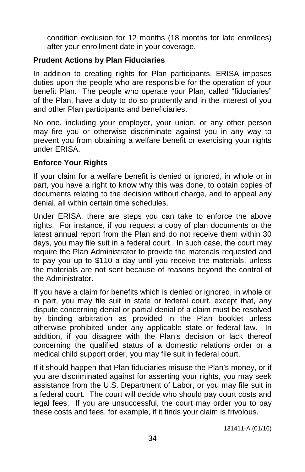condition exclusion for 12 months (18 months for late enrollees) after your enrollment date in your coverage.

# **Prudent Actions by Plan Fiduciaries**

In addition to creating rights for Plan participants, ERISA imposes duties upon the people who are responsible for the operation of your benefit Plan. The people who operate your Plan, called "fiduciaries" of the Plan, have a duty to do so prudently and in the interest of you and other Plan participants and beneficiaries.

No one, including your employer, your union, or any other person may fire you or otherwise discriminate against you in any way to prevent you from obtaining a welfare benefit or exercising your rights under ERISA.

### **Enforce Your Rights**

If your claim for a welfare benefit is denied or ignored, in whole or in part, you have a right to know why this was done, to obtain copies of documents relating to the decision without charge, and to appeal any denial, all within certain time schedules.

Under ERISA, there are steps you can take to enforce the above rights. For instance, if you request a copy of plan documents or the latest annual report from the Plan and do not receive them within 30 days, you may file suit in a federal court. In such case, the court may require the Plan Administrator to provide the materials requested and to pay you up to \$110 a day until you receive the materials, unless the materials are not sent because of reasons beyond the control of the Administrator.

If you have a claim for benefits which is denied or ignored, in whole or in part, you may file suit in state or federal court, except that, any dispute concerning denial or partial denial of a claim must be resolved by binding arbitration as provided in the Plan booklet unless otherwise prohibited under any applicable state or federal law. In addition, if you disagree with the Plan's decision or lack thereof concerning the qualified status of a domestic relations order or a medical child support order, you may file suit in federal court.

If it should happen that Plan fiduciaries misuse the Plan's money, or if you are discriminated against for asserting your rights, you may seek assistance from the U.S. Department of Labor, or you may file suit in a federal court. The court will decide who should pay court costs and legal fees. If you are unsuccessful, the court may order you to pay these costs and fees, for example, if it finds your claim is frivolous.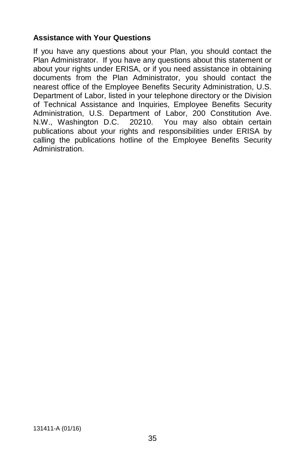## **Assistance with Your Questions**

If you have any questions about your Plan, you should contact the Plan Administrator. If you have any questions about this statement or about your rights under ERISA, or if you need assistance in obtaining documents from the Plan Administrator, you should contact the nearest office of the Employee Benefits Security Administration, U.S. Department of Labor, listed in your telephone directory or the Division of Technical Assistance and Inquiries, Employee Benefits Security Administration, U.S. Department of Labor, 200 Constitution Ave. N.W., Washington D.C. 20210. You may also obtain certain publications about your rights and responsibilities under ERISA by calling the publications hotline of the Employee Benefits Security Administration.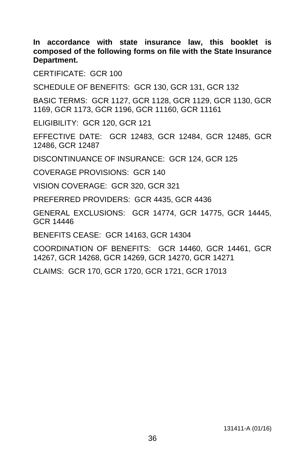**In accordance with state insurance law, this booklet is composed of the following forms on file with the State Insurance Department.**

CERTIFICATE: GCR 100

SCHEDULE OF BENEFITS: GCR 130, GCR 131, GCR 132

BASIC TERMS: GCR 1127, GCR 1128, GCR 1129, GCR 1130, GCR 1169, GCR 1173, GCR 1196, GCR 11160, GCR 11161

ELIGIBILITY: GCR 120, GCR 121

EFFECTIVE DATE: GCR 12483, GCR 12484, GCR 12485, GCR 12486, GCR 12487

DISCONTINUANCE OF INSURANCE: GCR 124, GCR 125

COVERAGE PROVISIONS: GCR 140

VISION COVERAGE: GCR 320, GCR 321

PREFERRED PROVIDERS: GCR 4435, GCR 4436

GENERAL EXCLUSIONS: GCR 14774, GCR 14775, GCR 14445, GCR 14446

BENEFITS CEASE: GCR 14163, GCR 14304

COORDINATION OF BENEFITS: GCR 14460, GCR 14461, GCR 14267, GCR 14268, GCR 14269, GCR 14270, GCR 14271

CLAIMS: GCR 170, GCR 1720, GCR 1721, GCR 17013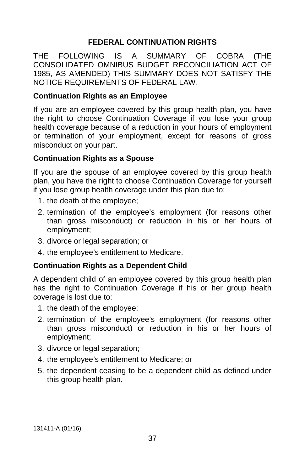# **FEDERAL CONTINUATION RIGHTS**

THE FOLLOWING IS A SUMMARY OF COBRA (THE CONSOLIDATED OMNIBUS BUDGET RECONCILIATION ACT OF 1985, AS AMENDED) THIS SUMMARY DOES NOT SATISFY THE NOTICE REQUIREMENTS OF FEDERAL LAW.

## **Continuation Rights as an Employee**

If you are an employee covered by this group health plan, you have the right to choose Continuation Coverage if you lose your group health coverage because of a reduction in your hours of employment or termination of your employment, except for reasons of gross misconduct on your part.

### **Continuation Rights as a Spouse**

If you are the spouse of an employee covered by this group health plan, you have the right to choose Continuation Coverage for yourself if you lose group health coverage under this plan due to:

- 1. the death of the employee;
- 2. termination of the employee's employment (for reasons other than gross misconduct) or reduction in his or her hours of employment;
- 3. divorce or legal separation; or
- 4. the employee's entitlement to Medicare.

### **Continuation Rights as a Dependent Child**

A dependent child of an employee covered by this group health plan has the right to Continuation Coverage if his or her group health coverage is lost due to:

- 1. the death of the employee;
- 2. termination of the employee's employment (for reasons other than gross misconduct) or reduction in his or her hours of employment;
- 3. divorce or legal separation;
- 4. the employee's entitlement to Medicare; or
- 5. the dependent ceasing to be a dependent child as defined under this group health plan.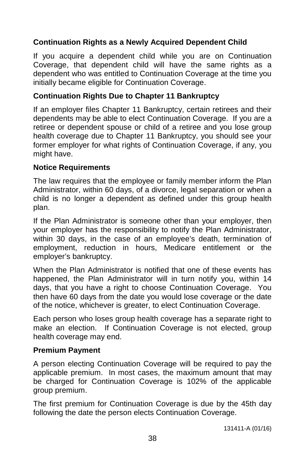# **Continuation Rights as a Newly Acquired Dependent Child**

If you acquire a dependent child while you are on Continuation Coverage, that dependent child will have the same rights as a dependent who was entitled to Continuation Coverage at the time you initially became eligible for Continuation Coverage.

## **Continuation Rights Due to Chapter 11 Bankruptcy**

If an employer files Chapter 11 Bankruptcy, certain retirees and their dependents may be able to elect Continuation Coverage. If you are a retiree or dependent spouse or child of a retiree and you lose group health coverage due to Chapter 11 Bankruptcy, you should see your former employer for what rights of Continuation Coverage, if any, you might have.

### **Notice Requirements**

The law requires that the employee or family member inform the Plan Administrator, within 60 days, of a divorce, legal separation or when a child is no longer a dependent as defined under this group health plan.

If the Plan Administrator is someone other than your employer, then your employer has the responsibility to notify the Plan Administrator, within 30 days, in the case of an employee's death, termination of employment, reduction in hours, Medicare entitlement or the employer's bankruptcy.

When the Plan Administrator is notified that one of these events has happened, the Plan Administrator will in turn notify you, within 14 days, that you have a right to choose Continuation Coverage. You then have 60 days from the date you would lose coverage or the date of the notice, whichever is greater, to elect Continuation Coverage.

Each person who loses group health coverage has a separate right to make an election. If Continuation Coverage is not elected, group health coverage may end.

### **Premium Payment**

A person electing Continuation Coverage will be required to pay the applicable premium. In most cases, the maximum amount that may be charged for Continuation Coverage is 102% of the applicable group premium.

The first premium for Continuation Coverage is due by the 45th day following the date the person elects Continuation Coverage.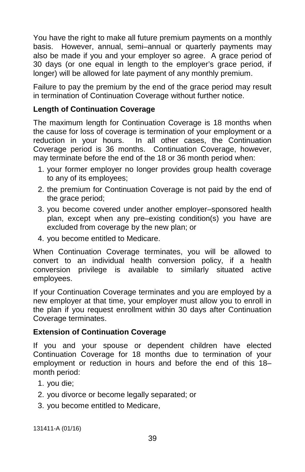You have the right to make all future premium payments on a monthly basis. However, annual, semi–annual or quarterly payments may also be made if you and your employer so agree. A grace period of 30 days (or one equal in length to the employer's grace period, if longer) will be allowed for late payment of any monthly premium.

Failure to pay the premium by the end of the grace period may result in termination of Continuation Coverage without further notice.

## **Length of Continuation Coverage**

The maximum length for Continuation Coverage is 18 months when the cause for loss of coverage is termination of your employment or a reduction in your hours. In all other cases, the Continuation Coverage period is 36 months. Continuation Coverage, however, may terminate before the end of the 18 or 36 month period when:

- 1. your former employer no longer provides group health coverage to any of its employees;
- 2. the premium for Continuation Coverage is not paid by the end of the grace period;
- 3. you become covered under another employer–sponsored health plan, except when any pre–existing condition(s) you have are excluded from coverage by the new plan; or
- 4. you become entitled to Medicare.

When Continuation Coverage terminates, you will be allowed to convert to an individual health conversion policy, if a health conversion privilege is available to similarly situated active employees.

If your Continuation Coverage terminates and you are employed by a new employer at that time, your employer must allow you to enroll in the plan if you request enrollment within 30 days after Continuation Coverage terminates.

### **Extension of Continuation Coverage**

If you and your spouse or dependent children have elected Continuation Coverage for 18 months due to termination of your employment or reduction in hours and before the end of this 18– month period:

- 1. you die;
- 2. you divorce or become legally separated; or
- 3. you become entitled to Medicare,

131411-A (01/16)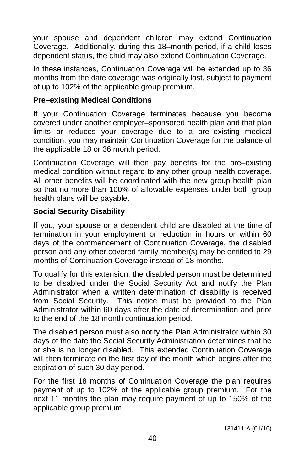your spouse and dependent children may extend Continuation Coverage. Additionally, during this 18–month period, if a child loses dependent status, the child may also extend Continuation Coverage.

In these instances, Continuation Coverage will be extended up to 36 months from the date coverage was originally lost, subject to payment of up to 102% of the applicable group premium.

#### **Pre–existing Medical Conditions**

If your Continuation Coverage terminates because you become covered under another employer–sponsored health plan and that plan limits or reduces your coverage due to a pre–existing medical condition, you may maintain Continuation Coverage for the balance of the applicable 18 or 36 month period.

Continuation Coverage will then pay benefits for the pre–existing medical condition without regard to any other group health coverage. All other benefits will be coordinated with the new group health plan so that no more than 100% of allowable expenses under both group health plans will be payable.

### **Social Security Disability**

If you, your spouse or a dependent child are disabled at the time of termination in your employment or reduction in hours or within 60 days of the commencement of Continuation Coverage, the disabled person and any other covered family member(s) may be entitled to 29 months of Continuation Coverage instead of 18 months.

To qualify for this extension, the disabled person must be determined to be disabled under the Social Security Act and notify the Plan Administrator when a written determination of disability is received from Social Security. This notice must be provided to the Plan Administrator within 60 days after the date of determination and prior to the end of the 18 month continuation period.

The disabled person must also notify the Plan Administrator within 30 days of the date the Social Security Administration determines that he or she is no longer disabled. This extended Continuation Coverage will then terminate on the first day of the month which begins after the expiration of such 30 day period.

For the first 18 months of Continuation Coverage the plan requires payment of up to 102% of the applicable group premium. For the next 11 months the plan may require payment of up to 150% of the applicable group premium.